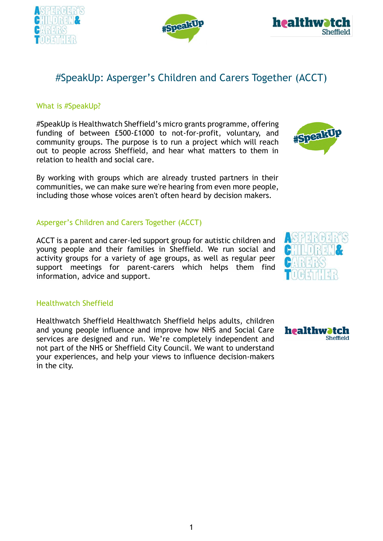





# #SpeakUp: Asperger's Children and Carers Together (ACCT)

#### What is #SpeakUp?

#SpeakUp is Healthwatch Sheffield's micro grants programme, offering funding of between £500-£1000 to not-for-profit, voluntary, and community groups. The purpose is to run a project which will reach out to people across Sheffield, and hear what matters to them in relation to health and social care.

By working with groups which are already trusted partners in their communities, we can make sure we're hearing from even more people, including those whose voices aren't often heard by decision makers.

#### Asperger's Children and Carers Together (ACCT)

ACCT is a parent and carer-led support group for autistic children and young people and their families in Sheffield. We run social and activity groups for a variety of age groups, as well as regular peer support meetings for parent-carers which helps them find information, advice and support.

#### Healthwatch Sheffield

Healthwatch Sheffield Healthwatch Sheffield helps adults, children and young people influence and improve how NHS and Social Care services are designed and run. We're completely independent and not part of the NHS or Sheffield City Council. We want to understand your experiences, and help your views to influence decision-makers in the city.





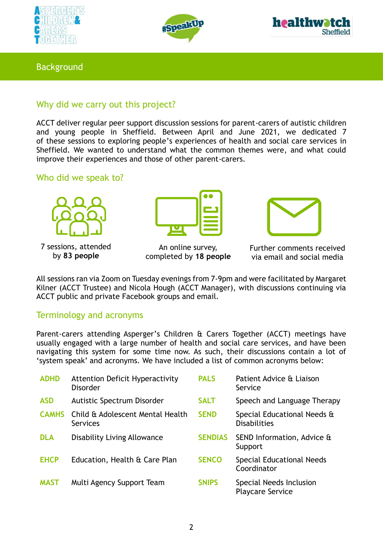





#### Background

# Why did we carry out this project?

ACCT deliver regular peer support discussion sessions for parent-carers of autistic children and young people in Sheffield. Between April and June 2021, we dedicated 7 of these sessions to exploring people's experiences of health and social care services in Sheffield. We wanted to understand what the common themes were, and what could improve their experiences and those of other parent-carers.

#### Who did we speak to?



7 sessions, attended by **83 people**



An online survey, completed by **18 people**



Further comments received via email and social media

All sessions ran via Zoom on Tuesday evenings from 7-9pm and were facilitated by Margaret Kilner (ACCT Trustee) and Nicola Hough (ACCT Manager), with discussions continuing via ACCT public and private Facebook groups and email.

## Terminology and acronyms

Parent-carers attending Asperger's Children & Carers Together (ACCT) meetings have usually engaged with a large number of health and social care services, and have been navigating this system for some time now. As such, their discussions contain a lot of 'system speak' and acronyms. We have included a list of common acronyms below:

| <b>ADHD</b>  | <b>Attention Deficit Hyperactivity</b><br><b>Disorder</b> | <b>PALS</b>    | Patient Advice & Liaison<br>Service                |
|--------------|-----------------------------------------------------------|----------------|----------------------------------------------------|
| <b>ASD</b>   | Autistic Spectrum Disorder                                | <b>SALT</b>    | Speech and Language Therapy                        |
| <b>CAMHS</b> | Child & Adolescent Mental Health<br>Services              | <b>SEND</b>    | Special Educational Needs &<br><b>Disabilities</b> |
| <b>DLA</b>   | Disability Living Allowance                               | <b>SENDIAS</b> | SEND Information, Advice &<br>Support              |
| <b>EHCP</b>  | Education, Health & Care Plan                             | <b>SENCO</b>   | <b>Special Educational Needs</b><br>Coordinator    |
| <b>MAST</b>  | Multi Agency Support Team                                 | <b>SNIPS</b>   | Special Needs Inclusion<br><b>Playcare Service</b> |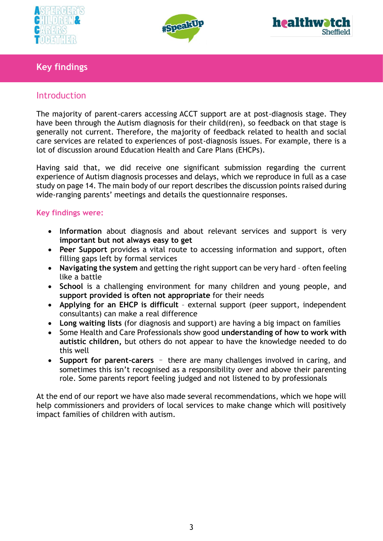





# **Key findings**

## **Introduction**

The majority of parent-carers accessing ACCT support are at post-diagnosis stage. They have been through the Autism diagnosis for their child(ren), so feedback on that stage is generally not current. Therefore, the majority of feedback related to health and social care services are related to experiences of post-diagnosis issues. For example, there is a lot of discussion around Education Health and Care Plans (EHCPs).

Having said that, we did receive one significant submission regarding the current experience of Autism diagnosis processes and delays, which we reproduce in full as a case study on page 14. The main body of our report describes the discussion points raised during wide-ranging parents' meetings and details the questionnaire responses.

#### **Key findings were:**

- **Information** about diagnosis and about relevant services and support is very **important but not always easy to get**
- **Peer Support** provides a vital route to accessing information and support, often filling gaps left by formal services
- **Navigating the system** and getting the right support can be very hard often feeling like a battle
- **School** is a challenging environment for many children and young people, and **support provided is often not appropriate** for their needs
- **Applying for an EHCP is difficult**  external support (peer support, independent consultants) can make a real difference
- **Long waiting lists** (for diagnosis and support) are having a big impact on families
- Some Health and Care Professionals show good **understanding of how to work with autistic children,** but others do not appear to have the knowledge needed to do this well
- **Support for parent-carers** there are many challenges involved in caring, and sometimes this isn't recognised as a responsibility over and above their parenting role. Some parents report feeling judged and not listened to by professionals

At the end of our report we have also made several recommendations, which we hope will help commissioners and providers of local services to make change which will positively impact families of children with autism.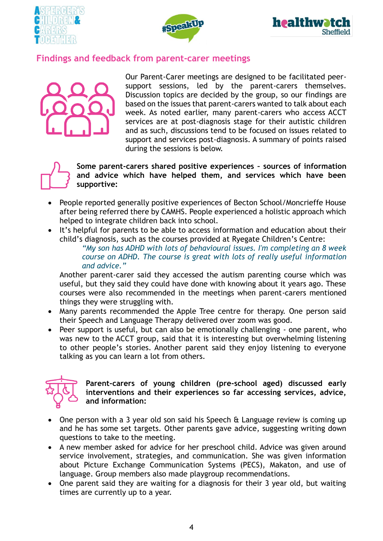





## **Findings and feedback from parent-carer meetings**



Our Parent-Carer meetings are designed to be facilitated peersupport sessions, led by the parent-carers themselves. Discussion topics are decided by the group, so our findings are based on the issues that parent-carers wanted to talk about each week. As noted earlier, many parent-carers who access ACCT services are at post-diagnosis stage for their autistic children and as such, discussions tend to be focused on issues related to support and services post-diagnosis. A summary of points raised during the sessions is below.



**Some parent-carers shared positive experiences – sources of information and advice which have helped them, and services which have been supportive:**

- People reported generally positive experiences of Becton School/Moncrieffe House after being referred there by CAMHS. People experienced a holistic approach which helped to integrate children back into school.
- It's helpful for parents to be able to access information and education about their child's diagnosis, such as the courses provided at Ryegate Children's Centre:

*"My son has ADHD with lots of behavioural issues. I'm completing an 8 week course on ADHD. The course is great with lots of really useful information and advice."*

Another parent-carer said they accessed the autism parenting course which was useful, but they said they could have done with knowing about it years ago. These courses were also recommended in the meetings when parent-carers mentioned things they were struggling with.

- Many parents recommended the Apple Tree centre for therapy. One person said their Speech and Language Therapy delivered over zoom was good.
- Peer support is useful, but can also be emotionally challenging one parent, who was new to the ACCT group, said that it is interesting but overwhelming listening to other people's stories. Another parent said they enjoy listening to everyone talking as you can learn a lot from others.



**Parent-carers of young children (pre-school aged) discussed early interventions and their experiences so far accessing services, advice, and information:**

- One person with a 3 year old son said his Speech & Language review is coming up and he has some set targets. Other parents gave advice, suggesting writing down questions to take to the meeting.
- A new member asked for advice for her preschool child. Advice was given around service involvement, strategies, and communication. She was given information about Picture Exchange Communication Systems (PECS), Makaton, and use of language. Group members also made playgroup recommendations.
- One parent said they are waiting for a diagnosis for their 3 year old, but waiting times are currently up to a year.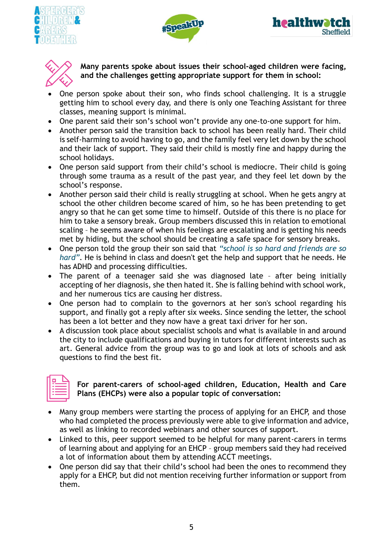







**Many parents spoke about issues their school-aged children were facing, and the challenges getting appropriate support for them in school:**

- One person spoke about their son, who finds school challenging. It is a struggle getting him to school every day, and there is only one Teaching Assistant for three classes, meaning support is minimal.
- One parent said their son's school won't provide any one-to-one support for him.
- Another person said the transition back to school has been really hard. Their child is self-harming to avoid having to go, and the family feel very let down by the school and their lack of support. They said their child is mostly fine and happy during the school holidays.
- One person said support from their child's school is mediocre. Their child is going through some trauma as a result of the past year, and they feel let down by the school's response.
- Another person said their child is really struggling at school. When he gets angry at school the other children become scared of him, so he has been pretending to get angry so that he can get some time to himself. Outside of this there is no place for him to take a sensory break. Group members discussed this in relation to emotional scaling – he seems aware of when his feelings are escalating and is getting his needs met by hiding, but the school should be creating a safe space for sensory breaks.
- One person told the group their son said that *"school is so hard and friends are so hard"*. He is behind in class and doesn't get the help and support that he needs. He has ADHD and processing difficulties.
- The parent of a teenager said she was diagnosed late after being initially accepting of her diagnosis, she then hated it. She is falling behind with school work, and her numerous tics are causing her distress.
- One person had to complain to the governors at her son's school regarding his support, and finally got a reply after six weeks. Since sending the letter, the school has been a lot better and they now have a great taxi driver for her son.
- A discussion took place about specialist schools and what is available in and around the city to include qualifications and buying in tutors for different interests such as art. General advice from the group was to go and look at lots of schools and ask questions to find the best fit.

**For parent-carers of school-aged children, Education, Health and Care Plans (EHCPs) were also a popular topic of conversation:**

- Many group members were starting the process of applying for an EHCP, and those who had completed the process previously were able to give information and advice, as well as linking to recorded webinars and other sources of support.
- Linked to this, peer support seemed to be helpful for many parent-carers in terms of learning about and applying for an EHCP – group members said they had received a lot of information about them by attending ACCT meetings.
- One person did say that their child's school had been the ones to recommend they apply for a EHCP, but did not mention receiving further information or support from them.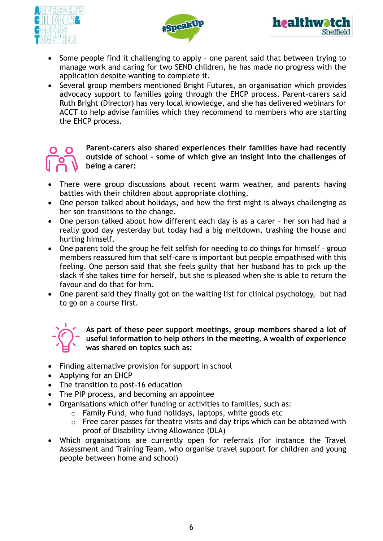





- Some people find it challenging to apply one parent said that between trying to manage work and caring for two SEND children, he has made no progress with the application despite wanting to complete it.
- Several group members mentioned Bright Futures, an organisation which provides advocacy support to families going through the EHCP process. Parent-carers said Ruth Bright (Director) has very local knowledge, and she has delivered webinars for ACCT to help advise families which they recommend to members who are starting the EHCP process.

# $\epsilon$

**Parent-carers also shared experiences their families have had recently outside of school – some of which give an insight into the challenges of being a carer:**

- There were group discussions about recent warm weather, and parents having battles with their children about appropriate clothing.
- One person talked about holidays, and how the first night is always challenging as her son transitions to the change.
- One person talked about how different each day is as a carer her son had had a really good day yesterday but today had a big meltdown, trashing the house and hurting himself.
- One parent told the group he felt selfish for needing to do things for himself group members reassured him that self-care is important but people empathised with this feeling. One person said that she feels guilty that her husband has to pick up the slack if she takes time for herself, but she is pleased when she is able to return the favour and do that for him.
- One parent said they finally got on the waiting list for clinical psychology, but had to go on a course first.



**As part of these peer support meetings, group members shared a lot of useful information to help others in the meeting. A wealth of experience was shared on topics such as:**

- Finding alternative provision for support in school
- Applying for an EHCP
- The transition to post-16 education
- The PIP process, and becoming an appointee
- Organisations which offer funding or activities to families, such as:
	- o Family Fund, who fund holidays, laptops, white goods etc
		- o Free carer passes for theatre visits and day trips which can be obtained with proof of Disability Living Allowance (DLA)
- Which organisations are currently open for referrals (for instance the Travel Assessment and Training Team, who organise travel support for children and young people between home and school)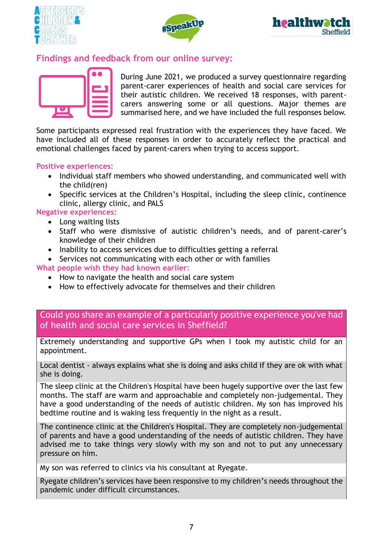





## **Findings and feedback from our online survey:**



During June 2021, we produced a survey questionnaire regarding parent-carer experiences of health and social care services for their autistic children. We received 18 responses, with parentcarers answering some or all questions. Major themes are summarised here, and we have included the full responses below.

Some participants expressed real frustration with the experiences they have faced. We have included all of these responses in order to accurately reflect the practical and emotional challenges faced by parent-carers when trying to access support.

#### **Positive experiences:**

- Individual staff members who showed understanding, and communicated well with the child(ren)
- Specific services at the Children's Hospital, including the sleep clinic, continence clinic, allergy clinic, and PALS

#### **Negative experiences:**

- Long waiting lists
- Staff who were dismissive of autistic children's needs, and of parent-carer's knowledge of their children
- Inability to access services due to difficulties getting a referral
- Services not communicating with each other or with families

#### **What people wish they had known earlier:**

- How to navigate the health and social care system
- How to effectively advocate for themselves and their children

## Could you share an example of a particularly positive experience you've had of health and social care services in Sheffield?

Extremely understanding and supportive GPs when I took my autistic child for an appointment.

Local dentist - always explains what she is doing and asks child if they are ok with what she is doing.

The sleep clinic at the Children's Hospital have been hugely supportive over the last few months. The staff are warm and approachable and completely non-judgemental. They have a good understanding of the needs of autistic children. My son has improved his bedtime routine and is waking less frequently in the night as a result.

The continence clinic at the Children's Hospital. They are completely non-judgemental of parents and have a good understanding of the needs of autistic children. They have advised me to take things very slowly with my son and not to put any unnecessary pressure on him.

My son was referred to clinics via his consultant at Ryegate.

Ryegate children's services have been responsive to my children's needs throughout the pandemic under difficult circumstances.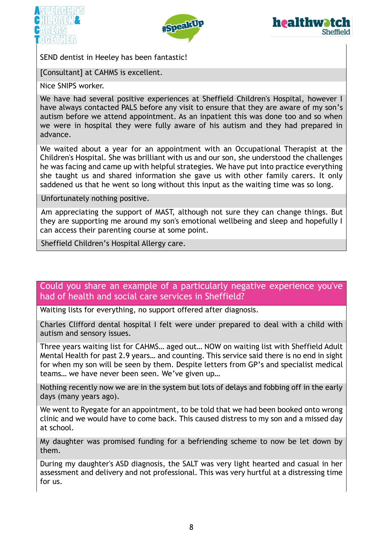





SEND dentist in Heeley has been fantastic!

[Consultant] at CAHMS is excellent.

Nice SNIPS worker.

We have had several positive experiences at Sheffield Children's Hospital, however I have always contacted PALS before any visit to ensure that they are aware of my son's autism before we attend appointment. As an inpatient this was done too and so when we were in hospital they were fully aware of his autism and they had prepared in advance.

We waited about a year for an appointment with an Occupational Therapist at the Children's Hospital. She was brilliant with us and our son, she understood the challenges he was facing and came up with helpful strategies. We have put into practice everything she taught us and shared information she gave us with other family carers. It only saddened us that he went so long without this input as the waiting time was so long.

Unfortunately nothing positive.

Am appreciating the support of MAST, although not sure they can change things. But they are supporting me around my son's emotional wellbeing and sleep and hopefully I can access their parenting course at some point.

Sheffield Children's Hospital Allergy care.

Could you share an example of a particularly negative experience you've had of health and social care services in Sheffield?

Waiting lists for everything, no support offered after diagnosis.

Charles Clifford dental hospital I felt were under prepared to deal with a child with autism and sensory issues.

Three years waiting list for CAHMS… aged out… NOW on waiting list with Sheffield Adult Mental Health for past 2.9 years… and counting. This service said there is no end in sight for when my son will be seen by them. Despite letters from GP's and specialist medical teams… we have never been seen. We've given up…

Nothing recently now we are in the system but lots of delays and fobbing off in the early days (many years ago).

We went to Ryegate for an appointment, to be told that we had been booked onto wrong clinic and we would have to come back. This caused distress to my son and a missed day at school.

My daughter was promised funding for a befriending scheme to now be let down by them.

During my daughter's ASD diagnosis, the SALT was very light hearted and casual in her assessment and delivery and not professional. This was very hurtful at a distressing time for us.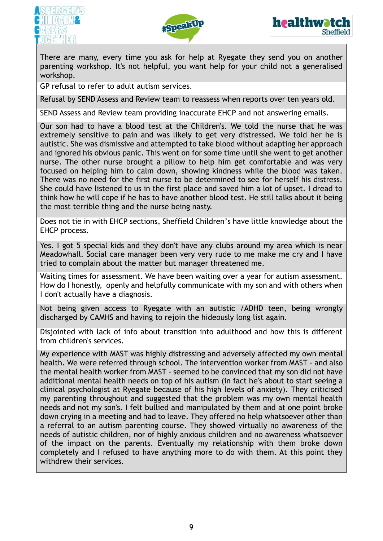





There are many, every time you ask for help at Ryegate they send you on another parenting workshop. It's not helpful, you want help for your child not a generalised workshop.

GP refusal to refer to adult autism services.

Refusal by SEND Assess and Review team to reassess when reports over ten years old.

SEND Assess and Review team providing inaccurate EHCP and not answering emails.

Our son had to have a blood test at the Children's. We told the nurse that he was extremely sensitive to pain and was likely to get very distressed. We told her he is autistic. She was dismissive and attempted to take blood without adapting her approach and ignored his obvious panic. This went on for some time until she went to get another nurse. The other nurse brought a pillow to help him get comfortable and was very focused on helping him to calm down, showing kindness while the blood was taken. There was no need for the first nurse to be determined to see for herself his distress. She could have listened to us in the first place and saved him a lot of upset. I dread to think how he will cope if he has to have another blood test. He still talks about it being the most terrible thing and the nurse being nasty.

Does not tie in with EHCP sections, Sheffield Children's have little knowledge about the EHCP process.

Yes. I got 5 special kids and they don't have any clubs around my area which is near Meadowhall. Social care manager been very very rude to me make me cry and I have tried to complain about the matter but manager threatened me.

Waiting times for assessment. We have been waiting over a year for autism assessment. How do I honestly, openly and helpfully communicate with my son and with others when I don't actually have a diagnosis.

Not being given access to Ryegate with an autistic /ADHD teen, being wrongly discharged by CAMHS and having to rejoin the hideously long list again.

Disjointed with lack of info about transition into adulthood and how this is different from children's services.

My experience with MAST was highly distressing and adversely affected my own mental health. We were referred through school. The intervention worker from MAST - and also the mental health worker from MAST - seemed to be convinced that my son did not have additional mental health needs on top of his autism (in fact he's about to start seeing a clinical psychologist at Ryegate because of his high levels of anxiety). They criticised my parenting throughout and suggested that the problem was my own mental health needs and not my son's. I felt bullied and manipulated by them and at one point broke down crying in a meeting and had to leave. They offered no help whatsoever other than a referral to an autism parenting course. They showed virtually no awareness of the needs of autistic children, nor of highly anxious children and no awareness whatsoever of the impact on the parents. Eventually my relationship with them broke down completely and I refused to have anything more to do with them. At this point they withdrew their services.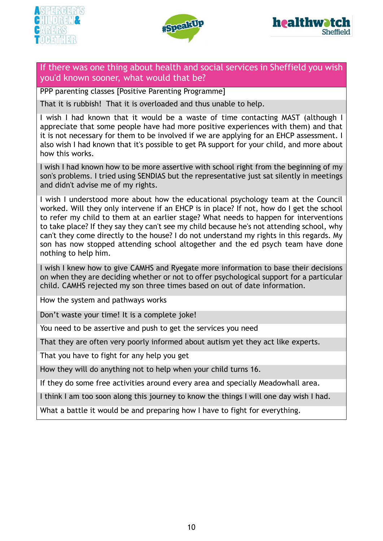





If there was one thing about health and social services in Sheffield you wish you'd known sooner, what would that be?

PPP parenting classes [Positive Parenting Programme]

That it is rubbish! That it is overloaded and thus unable to help.

I wish I had known that it would be a waste of time contacting MAST (although I appreciate that some people have had more positive experiences with them) and that it is not necessary for them to be involved if we are applying for an EHCP assessment. I also wish I had known that it's possible to get PA support for your child, and more about how this works.

I wish I had known how to be more assertive with school right from the beginning of my son's problems. I tried using SENDIAS but the representative just sat silently in meetings and didn't advise me of my rights.

I wish I understood more about how the educational psychology team at the Council worked. Will they only intervene if an EHCP is in place? If not, how do I get the school to refer my child to them at an earlier stage? What needs to happen for interventions to take place? If they say they can't see my child because he's not attending school, why can't they come directly to the house? I do not understand my rights in this regards. My son has now stopped attending school altogether and the ed psych team have done nothing to help him.

I wish I knew how to give CAMHS and Ryegate more information to base their decisions on when they are deciding whether or not to offer psychological support for a particular child. CAMHS rejected my son three times based on out of date information.

How the system and pathways works

Don't waste your time! It is a complete joke!

You need to be assertive and push to get the services you need

That they are often very poorly informed about autism yet they act like experts.

That you have to fight for any help you get

How they will do anything not to help when your child turns 16.

If they do some free activities around every area and specially Meadowhall area.

I think I am too soon along this journey to know the things I will one day wish I had.

What a battle it would be and preparing how I have to fight for everything.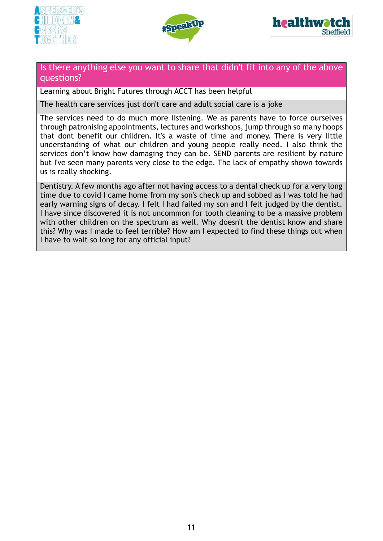





#### Is there anything else you want to share that didn't fit into any of the above questions?

Learning about Bright Futures through ACCT has been helpful

The health care services just don't care and adult social care is a joke

The services need to do much more listening. We as parents have to force ourselves through patronising appointments, lectures and workshops, jump through so many hoops that dont benefit our children. It's a waste of time and money. There is very little understanding of what our children and young people really need. I also think the services don't know how damaging they can be. SEND parents are resilient by nature but I've seen many parents very close to the edge. The lack of empathy shown towards us is really shocking.

Dentistry. A few months ago after not having access to a dental check up for a very long time due to covid I came home from my son's check up and sobbed as I was told he had early warning signs of decay. I felt I had failed my son and I felt judged by the dentist. I have since discovered it is not uncommon for tooth cleaning to be a massive problem with other children on the spectrum as well. Why doesn't the dentist know and share this? Why was I made to feel terrible? How am I expected to find these things out when I have to wait so long for any official input?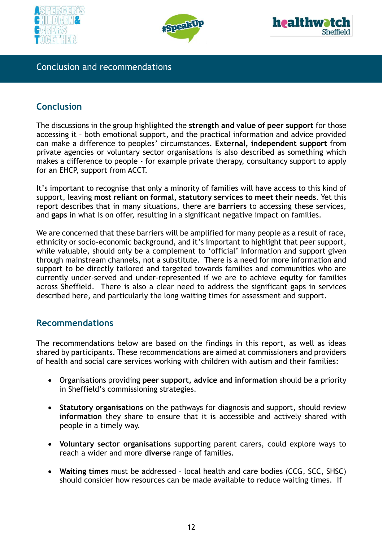





## Conclusion and recommendations

# **Conclusion**

The discussions in the group highlighted the **strength and value of peer support** for those accessing it – both emotional support, and the practical information and advice provided can make a difference to peoples' circumstances. **External, independent support** from private agencies or voluntary sector organisations is also described as something which makes a difference to people - for example private therapy, consultancy support to apply for an EHCP, support from ACCT.

It's important to recognise that only a minority of families will have access to this kind of support, leaving **most reliant on formal, statutory services to meet their needs**. Yet this report describes that in many situations, there are **barriers** to accessing these services, and **gaps** in what is on offer, resulting in a significant negative impact on families.

We are concerned that these barriers will be amplified for many people as a result of race, ethnicity or socio-economic background, and it's important to highlight that peer support, while valuable, should only be a complement to 'official' information and support given through mainstream channels, not a substitute. There is a need for more information and support to be directly tailored and targeted towards families and communities who are currently under-served and under-represented if we are to achieve **equity** for families across Sheffield. There is also a clear need to address the significant gaps in services described here, and particularly the long waiting times for assessment and support.

## **Recommendations**

The recommendations below are based on the findings in this report, as well as ideas shared by participants. These recommendations are aimed at commissioners and providers of health and social care services working with children with autism and their families:

- Organisations providing **peer support, advice and information** should be a priority in Sheffield's commissioning strategies.
- **Statutory organisations** on the pathways for diagnosis and support, should review **information** they share to ensure that it is accessible and actively shared with people in a timely way.
- **Voluntary sector organisations** supporting parent carers, could explore ways to reach a wider and more **diverse** range of families.
- **Waiting times** must be addressed local health and care bodies (CCG, SCC, SHSC) should consider how resources can be made available to reduce waiting times. If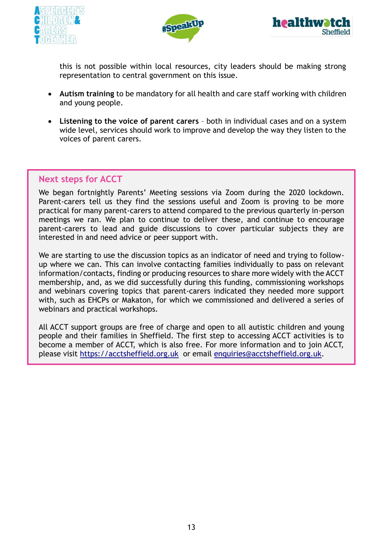





this is not possible within local resources, city leaders should be making strong representation to central government on this issue.

- **Autism training** to be mandatory for all health and care staff working with children and young people.
- **Listening to the voice of parent carers** both in individual cases and on a system wide level, services should work to improve and develop the way they listen to the voices of parent carers.

#### **Next steps for ACCT**

We began fortnightly Parents' Meeting sessions via Zoom during the 2020 lockdown. Parent-carers tell us they find the sessions useful and Zoom is proving to be more practical for many parent-carers to attend compared to the previous quarterly in-person meetings we ran. We plan to continue to deliver these, and continue to encourage parent-carers to lead and guide discussions to cover particular subjects they are interested in and need advice or peer support with.

We are starting to use the discussion topics as an indicator of need and trying to followup where we can. This can involve contacting families individually to pass on relevant information/contacts, finding or producing resources to share more widely with the ACCT membership, and, as we did successfully during this funding, commissioning workshops and webinars covering topics that parent-carers indicated they needed more support with, such as EHCPs or Makaton, for which we commissioned and delivered a series of webinars and practical workshops.

All ACCT support groups are free of charge and open to all autistic children and young people and their families in Sheffield. The first step to accessing ACCT activities is to become a member of ACCT, which is also free. For more information and to join ACCT, please visit [https://acctsheffield.org.uk](https://acctsheffield.org.uk/) or email [enquiries@acctsheffield.org.uk.](mailto:enquiries@acctsheffield.org.uk)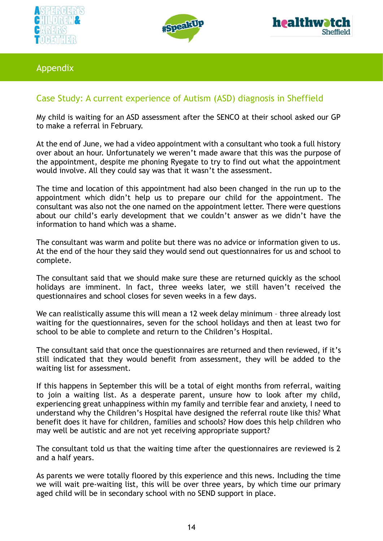





#### Appendix

## Case Study: A current experience of Autism (ASD) diagnosis in Sheffield

My child is waiting for an ASD assessment after the SENCO at their school asked our GP to make a referral in February.

At the end of June, we had a video appointment with a consultant who took a full history over about an hour. Unfortunately we weren't made aware that this was the purpose of the appointment, despite me phoning Ryegate to try to find out what the appointment would involve. All they could say was that it wasn't the assessment.

The time and location of this appointment had also been changed in the run up to the appointment which didn't help us to prepare our child for the appointment. The consultant was also not the one named on the appointment letter. There were questions about our child's early development that we couldn't answer as we didn't have the information to hand which was a shame.

The consultant was warm and polite but there was no advice or information given to us. At the end of the hour they said they would send out questionnaires for us and school to complete.

The consultant said that we should make sure these are returned quickly as the school holidays are imminent. In fact, three weeks later, we still haven't received the questionnaires and school closes for seven weeks in a few days.

We can realistically assume this will mean a 12 week delay minimum – three already lost waiting for the questionnaires, seven for the school holidays and then at least two for school to be able to complete and return to the Children's Hospital.

The consultant said that once the questionnaires are returned and then reviewed, if it's still indicated that they would benefit from assessment, they will be added to the waiting list for assessment.

If this happens in September this will be a total of eight months from referral, waiting to join a waiting list. As a desperate parent, unsure how to look after my child, experiencing great unhappiness within my family and terrible fear and anxiety, I need to understand why the Children's Hospital have designed the referral route like this? What benefit does it have for children, families and schools? How does this help children who may well be autistic and are not yet receiving appropriate support?

The consultant told us that the waiting time after the questionnaires are reviewed is 2 and a half years.

As parents we were totally floored by this experience and this news. Including the time we will wait pre-waiting list, this will be over three years, by which time our primary aged child will be in secondary school with no SEND support in place.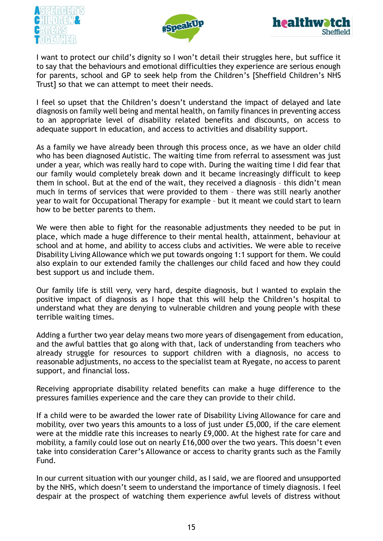





I want to protect our child's dignity so I won't detail their struggles here, but suffice it to say that the behaviours and emotional difficulties they experience are serious enough for parents, school and GP to seek help from the Children's [Sheffield Children's NHS Trust] so that we can attempt to meet their needs.

I feel so upset that the Children's doesn't understand the impact of delayed and late diagnosis on family well being and mental health, on family finances in preventing access to an appropriate level of disability related benefits and discounts, on access to adequate support in education, and access to activities and disability support.

As a family we have already been through this process once, as we have an older child who has been diagnosed Autistic. The waiting time from referral to assessment was just under a year, which was really hard to cope with. During the waiting time I did fear that our family would completely break down and it became increasingly difficult to keep them in school. But at the end of the wait, they received a diagnosis – this didn't mean much in terms of services that were provided to them – there was still nearly another year to wait for Occupational Therapy for example – but it meant we could start to learn how to be better parents to them.

We were then able to fight for the reasonable adjustments they needed to be put in place, which made a huge difference to their mental health, attainment, behaviour at school and at home, and ability to access clubs and activities. We were able to receive Disability Living Allowance which we put towards ongoing 1:1 support for them. We could also explain to our extended family the challenges our child faced and how they could best support us and include them.

Our family life is still very, very hard, despite diagnosis, but I wanted to explain the positive impact of diagnosis as I hope that this will help the Children's hospital to understand what they are denying to vulnerable children and young people with these terrible waiting times.

Adding a further two year delay means two more years of disengagement from education, and the awful battles that go along with that, lack of understanding from teachers who already struggle for resources to support children with a diagnosis, no access to reasonable adjustments, no access to the specialist team at Ryegate, no access to parent support, and financial loss.

Receiving appropriate disability related benefits can make a huge difference to the pressures families experience and the care they can provide to their child.

If a child were to be awarded the lower rate of Disability Living Allowance for care and mobility, over two years this amounts to a loss of just under £5,000, if the care element were at the middle rate this increases to nearly £9,000. At the highest rate for care and mobility, a family could lose out on nearly £16,000 over the two years. This doesn't even take into consideration Carer's Allowance or access to charity grants such as the Family Fund.

In our current situation with our younger child, as I said, we are floored and unsupported by the NHS, which doesn't seem to understand the importance of timely diagnosis. I feel despair at the prospect of watching them experience awful levels of distress without